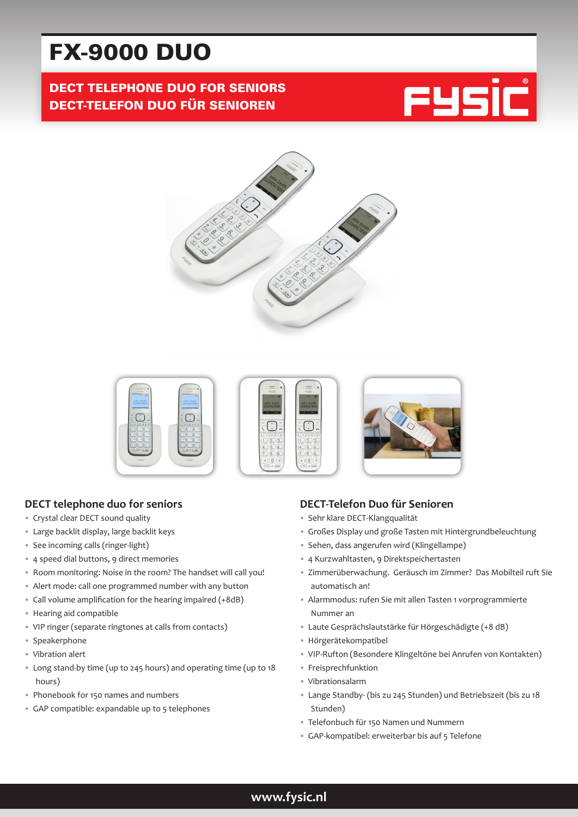# FX-9000 DUO

# DECT TELEPHONE DUO FOR SENIORS DECT-TELEFON DUO FÜR SENIOREN







## **DECT telephone duo for seniors**

- Crystal clear DECT sound quality
- Large backlit display, large backlit keys
- See incoming calls (ringer-light)
- 4 speed dial buttons, 9 direct memories
- Room monitoring: Noise in the room? The handset will call you!
- Alert mode: call one programmed number with any button
- Call volume amplification for the hearing impaired (+8dB)
- Hearing aid compatible
- VIP ringer (separate ringtones at calls from contacts)
- Speakerphone
- Vibration alert
- Long stand-by time (up to 245 hours) and operating time (up to 18 hours)
- Phonebook for 150 names and numbers
- GAP compatible: expandable up to 5 telephones

## **DECT-Telefon Duo für Senioren**

- Sehr klare DECT-Klangqualität
- Großes Display und große Tasten mit Hintergrundbeleuchtung
- Sehen, dass angerufen wird (Klingellampe)
- 4 Kurzwahltasten, 9 Direktspeichertasten
- Zimmerüberwachung. Geräusch im Zimmer? Das Mobilteil ruft Sie automatisch an!
- Alarmmodus: rufen Sie mit allen Tasten 1 vorprogrammierte Nummer an
- Laute Gesprächslautstärke für Hörgeschädigte (+8 dB)
- Hörgerätekompatibel
- VIP-Rufton (Besondere Klingeltöne bei Anrufen von Kontakten)
- Freisprechfunktion
- Vibrationsalarm
- Lange Standby- (bis zu 245 Stunden) und Betriebszeit (bis zu 18 Stunden)
- Telefonbuch für 150 Namen und Nummern
- GAP-kompatibel: erweiterbar bis auf 5 Telefone